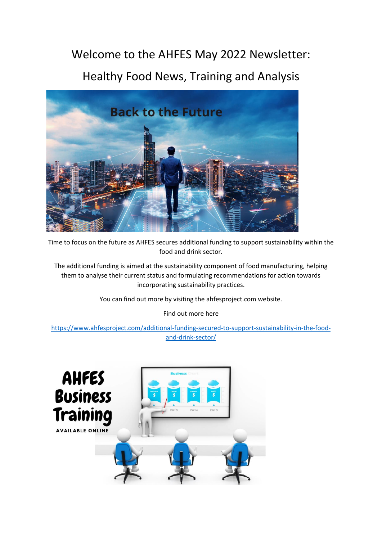## Welcome to the AHFES May 2022 Newsletter:

## Healthy Food News, Training and Analysis



Time to focus on the future as AHFES secures additional funding to support sustainability within the food and drink sector.

The additional funding is aimed at the sustainability component of food manufacturing, helping them to analyse their current status and formulating recommendations for action towards incorporating sustainability practices.

You can find out more by visiting the ahfesproject.com website.

Find out more here

[https://www.ahfesproject.com/additional-funding-secured-to-support-sustainability-in-the-food](https://www.ahfesproject.com/additional-funding-secured-to-support-sustainability-in-the-food-and-drink-sector/)[and-drink-sector/](https://www.ahfesproject.com/additional-funding-secured-to-support-sustainability-in-the-food-and-drink-sector/)

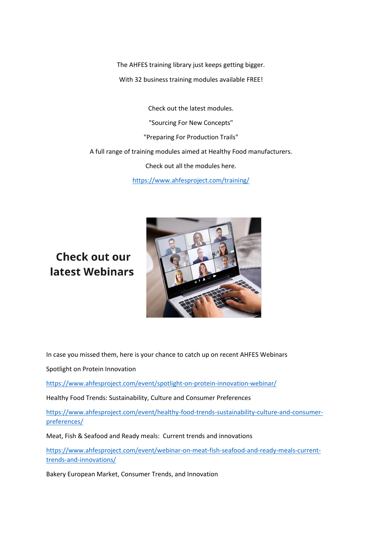The AHFES training library just keeps getting bigger. With 32 business training modules available FREE!

Check out the latest modules. "Sourcing For New Concepts" "Preparing For Production Trails" A full range of training modules aimed at Healthy Food manufacturers. Check out all the modules here. <https://www.ahfesproject.com/training/>

## Check out our latest Webinars



In case you missed them, here is your chance to catch up on recent AHFES Webinars

Spotlight on Protein Innovation

<https://www.ahfesproject.com/event/spotlight-on-protein-innovation-webinar/>

Healthy Food Trends: Sustainability, Culture and Consumer Preferences

[https://www.ahfesproject.com/event/healthy-food-trends-sustainability-culture-and-consumer](https://www.ahfesproject.com/event/healthy-food-trends-sustainability-culture-and-consumer-preferences/)[preferences/](https://www.ahfesproject.com/event/healthy-food-trends-sustainability-culture-and-consumer-preferences/)

Meat, Fish & Seafood and Ready meals: Current trends and innovations

[https://www.ahfesproject.com/event/webinar-on-meat-fish-seafood-and-ready-meals-current](https://www.ahfesproject.com/event/webinar-on-meat-fish-seafood-and-ready-meals-current-trends-and-innovations/)[trends-and-innovations/](https://www.ahfesproject.com/event/webinar-on-meat-fish-seafood-and-ready-meals-current-trends-and-innovations/)

Bakery European Market, Consumer Trends, and Innovation